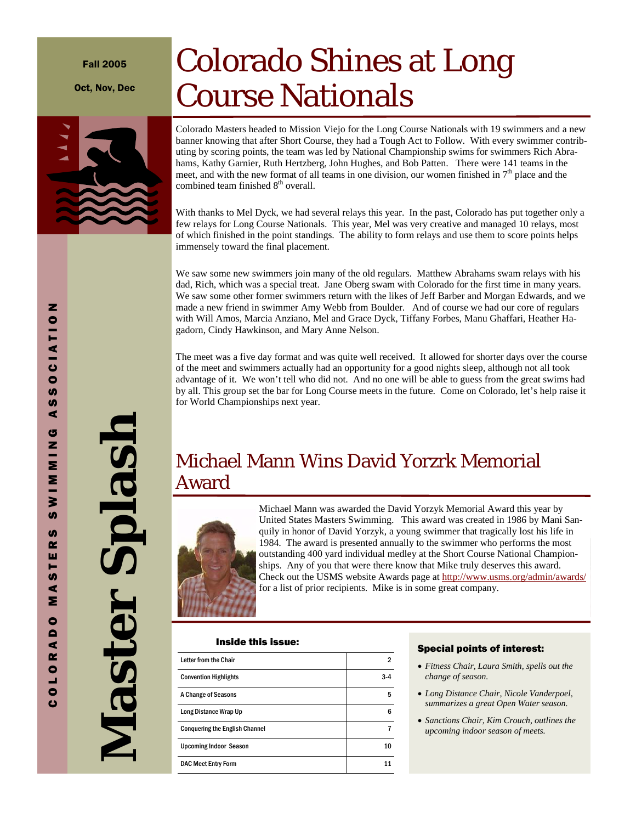#### Fall 2005

Oct, Nov, Dec

# Colorado Shines at Long Course Nationals

Colorado Masters headed to Mission Viejo for the Long Course Nationals with 19 swimmers and a new banner knowing that after Short Course, they had a Tough Act to Follow. With every swimmer contributing by scoring points, the team was led by National Championship swims for swimmers Rich Abrahams, Kathy Garnier, Ruth Hertzberg, John Hughes, and Bob Patten. There were 141 teams in the meet, and with the new format of all teams in one division, our women finished in  $7<sup>th</sup>$  place and the combined team finished  $8<sup>th</sup>$  overall.

With thanks to Mel Dyck, we had several relays this year. In the past, Colorado has put together only a few relays for Long Course Nationals. This year, Mel was very creative and managed 10 relays, most of which finished in the point standings. The ability to form relays and use them to score points helps immensely toward the final placement.

We saw some new swimmers join many of the old regulars. Matthew Abrahams swam relays with his dad, Rich, which was a special treat. Jane Oberg swam with Colorado for the first time in many years. We saw some other former swimmers return with the likes of Jeff Barber and Morgan Edwards, and we made a new friend in swimmer Amy Webb from Boulder. And of course we had our core of regulars with Will Amos, Marcia Anziano, Mel and Grace Dyck, Tiffany Forbes, Manu Ghaffari, Heather Hagadorn, Cindy Hawkinson, and Mary Anne Nelson.

The meet was a five day format and was quite well received. It allowed for shorter days over the course of the meet and swimmers actually had an opportunity for a good nights sleep, although not all took advantage of it. We won't tell who did not. And no one will be able to guess from the great swims had by all. This group set the bar for Long Course meets in the future. Come on Colorado, let's help raise it for World Championships next year.

### Michael Mann Wins David Yorzrk Memorial Award



Michael Mann was awarded the David Yorzyk Memorial Award this year by United States Masters Swimming. This award was created in 1986 by Mani Sanquily in honor of David Yorzyk, a young swimmer that tragically lost his life in 1984. The award is presented annually to the swimmer who performs the most outstanding 400 yard individual medley at the Short Course National Championships. Any of you that were there know that Mike truly deserves this award. Check out the USMS website Awards page at http://www.usms.org/admin/awards/ for a list of prior recipients. Mike is in some great company.

#### Inside this issue:

| Letter from the Chair                 |     |
|---------------------------------------|-----|
| <b>Convention Highlights</b>          | 3-4 |
| A Change of Seasons                   | 5   |
| Long Distance Wrap Up                 | 6   |
| <b>Conquering the English Channel</b> |     |
| <b>Upcoming Indoor Season</b>         | 10  |
| <b>DAC Meet Entry Form</b>            |     |

#### Special points of interest:

- *Fitness Chair, Laura Smith, spells out the change of season.*
- *Long Distance Chair, Nicole Vanderpoel, summarizes a great Open Water season.*
- *Sanctions Chair, Kim Crouch, outlines the upcoming indoor season of meets.*

**Master Splash** 

Master Splash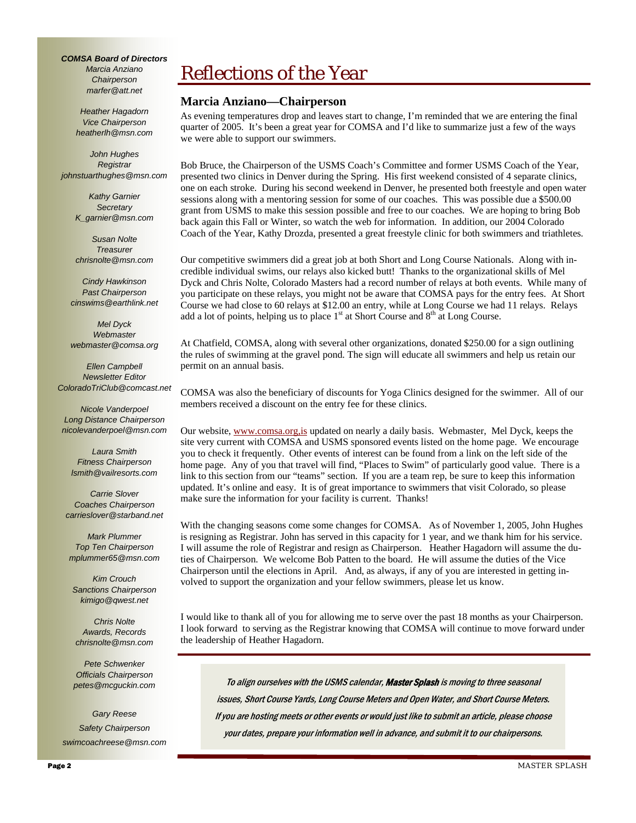*COMSA Board of Directors Marcia Anziano Chairperson marfer@att.net* 

> *Heather Hagadorn Vice Chairperson heatherlh@msn.com*

*John Hughes Registrar johnstuarthughes@msn.com* 

> *Kathy Garnier Secretary K\_garnier@msn.com*

> *Susan Nolte Treasurer chrisnolte@msn.com*

*Cindy Hawkinson Past Chairperson cinswims@earthlink.net* 

*Mel Dyck Webmaster webmaster@comsa.org* 

*Ellen Campbell Newsletter Editor ColoradoTriClub@comcast.net* 

*Nicole Vanderpoel Long Distance Chairperson nicolevanderpoel@msn.com* 

*Laura Smith Fitness Chairperson lsmith@vailresorts.com* 

*Carrie Slover Coaches Chairperson carrieslover@starband.net* 

*Mark Plummer Top Ten Chairperson mplummer65@msn.com* 

*Kim Crouch Sanctions Chairperson kimigo@qwest.net* 

*Chris Nolte Awards, Records chrisnolte@msn.com* 

*Pete Schwenker Officials Chairperson petes@mcguckin.com* 

*Gary Reese Safety Chairperson swimcoachreese@msn.com*

# Reflections of the Year

#### **Marcia Anziano—Chairperson**

As evening temperatures drop and leaves start to change, I'm reminded that we are entering the final quarter of 2005. It's been a great year for COMSA and I'd like to summarize just a few of the ways we were able to support our swimmers.

Bob Bruce, the Chairperson of the USMS Coach's Committee and former USMS Coach of the Year, presented two clinics in Denver during the Spring. His first weekend consisted of 4 separate clinics, one on each stroke. During his second weekend in Denver, he presented both freestyle and open water sessions along with a mentoring session for some of our coaches. This was possible due a \$500.00 grant from USMS to make this session possible and free to our coaches. We are hoping to bring Bob back again this Fall or Winter, so watch the web for information. In addition, our 2004 Colorado Coach of the Year, Kathy Drozda, presented a great freestyle clinic for both swimmers and triathletes.

Our competitive swimmers did a great job at both Short and Long Course Nationals. Along with incredible individual swims, our relays also kicked butt! Thanks to the organizational skills of Mel Dyck and Chris Nolte, Colorado Masters had a record number of relays at both events. While many of you participate on these relays, you might not be aware that COMSA pays for the entry fees. At Short Course we had close to 60 relays at \$12.00 an entry, while at Long Course we had 11 relays. Relays add a lot of points, helping us to place  $1<sup>st</sup>$  at Short Course and  $8<sup>th</sup>$  at Long Course.

At Chatfield, COMSA, along with several other organizations, donated \$250.00 for a sign outlining the rules of swimming at the gravel pond. The sign will educate all swimmers and help us retain our permit on an annual basis.

COMSA was also the beneficiary of discounts for Yoga Clinics designed for the swimmer. All of our members received a discount on the entry fee for these clinics.

Our website, www.comsa.org,is updated on nearly a daily basis. Webmaster, Mel Dyck, keeps the site very current with COMSA and USMS sponsored events listed on the home page. We encourage you to check it frequently. Other events of interest can be found from a link on the left side of the home page. Any of you that travel will find, "Places to Swim" of particularly good value. There is a link to this section from our "teams" section. If you are a team rep, be sure to keep this information updated. It's online and easy. It is of great importance to swimmers that visit Colorado, so please make sure the information for your facility is current. Thanks!

With the changing seasons come some changes for COMSA. As of November 1, 2005, John Hughes is resigning as Registrar. John has served in this capacity for 1 year, and we thank him for his service. I will assume the role of Registrar and resign as Chairperson. Heather Hagadorn will assume the duties of Chairperson. We welcome Bob Patten to the board. He will assume the duties of the Vice Chairperson until the elections in April. And, as always, if any of you are interested in getting involved to support the organization and your fellow swimmers, please let us know.

I would like to thank all of you for allowing me to serve over the past 18 months as your Chairperson. I look forward to serving as the Registrar knowing that COMSA will continue to move forward under the leadership of Heather Hagadorn.

To align ourselves with the USMS calendar, Master Splash is moving to three seasonal issues, Short Course Yards, Long Course Meters and Open Water, and Short Course Meters. If you are hosting meets or other events or would just like to submit an article, please choose your dates, prepare your information well in advance, and submit it to our chairpersons.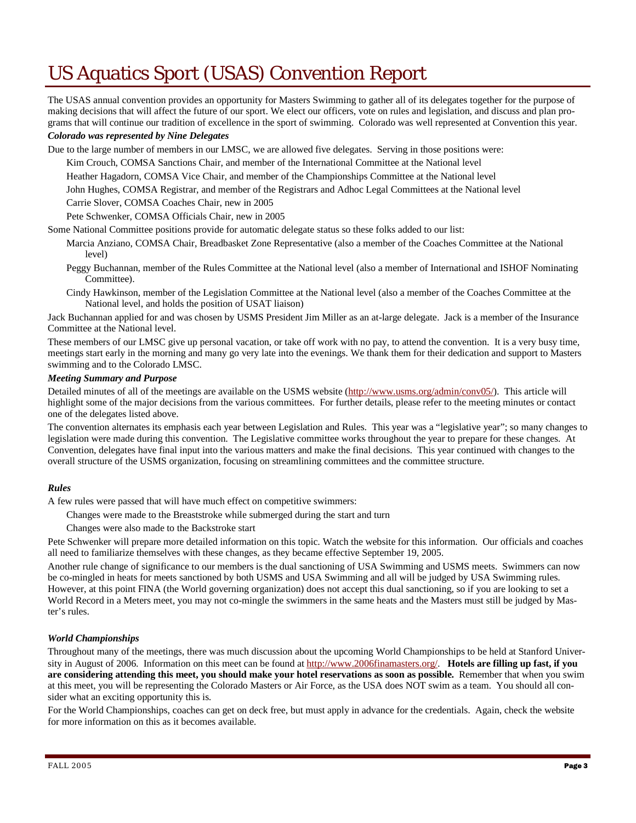### US Aquatics Sport (USAS) Convention Report

The USAS annual convention provides an opportunity for Masters Swimming to gather all of its delegates together for the purpose of making decisions that will affect the future of our sport. We elect our officers, vote on rules and legislation, and discuss and plan programs that will continue our tradition of excellence in the sport of swimming. Colorado was well represented at Convention this year.

#### *Colorado was represented by Nine Delegates*

Due to the large number of members in our LMSC, we are allowed five delegates. Serving in those positions were:

Kim Crouch, COMSA Sanctions Chair, and member of the International Committee at the National level

Heather Hagadorn, COMSA Vice Chair, and member of the Championships Committee at the National level

John Hughes, COMSA Registrar, and member of the Registrars and Adhoc Legal Committees at the National level

Carrie Slover, COMSA Coaches Chair, new in 2005

Pete Schwenker, COMSA Officials Chair, new in 2005

Some National Committee positions provide for automatic delegate status so these folks added to our list:

- Marcia Anziano, COMSA Chair, Breadbasket Zone Representative (also a member of the Coaches Committee at the National level)
- Peggy Buchannan, member of the Rules Committee at the National level (also a member of International and ISHOF Nominating Committee).
- Cindy Hawkinson, member of the Legislation Committee at the National level (also a member of the Coaches Committee at the National level, and holds the position of USAT liaison)

Jack Buchannan applied for and was chosen by USMS President Jim Miller as an at-large delegate. Jack is a member of the Insurance Committee at the National level.

These members of our LMSC give up personal vacation, or take off work with no pay, to attend the convention. It is a very busy time, meetings start early in the morning and many go very late into the evenings. We thank them for their dedication and support to Masters swimming and to the Colorado LMSC.

#### *Meeting Summary and Purpose*

Detailed minutes of all of the meetings are available on the USMS website (http://www.usms.org/admin/conv05/). This article will highlight some of the major decisions from the various committees. For further details, please refer to the meeting minutes or contact one of the delegates listed above.

The convention alternates its emphasis each year between Legislation and Rules. This year was a "legislative year"; so many changes to legislation were made during this convention. The Legislative committee works throughout the year to prepare for these changes. At Convention, delegates have final input into the various matters and make the final decisions. This year continued with changes to the overall structure of the USMS organization, focusing on streamlining committees and the committee structure.

#### *Rules*

A few rules were passed that will have much effect on competitive swimmers:

Changes were made to the Breaststroke while submerged during the start and turn

Changes were also made to the Backstroke start

Pete Schwenker will prepare more detailed information on this topic. Watch the website for this information. Our officials and coaches all need to familiarize themselves with these changes, as they became effective September 19, 2005.

Another rule change of significance to our members is the dual sanctioning of USA Swimming and USMS meets. Swimmers can now be co-mingled in heats for meets sanctioned by both USMS and USA Swimming and all will be judged by USA Swimming rules. However, at this point FINA (the World governing organization) does not accept this dual sanctioning, so if you are looking to set a World Record in a Meters meet, you may not co-mingle the swimmers in the same heats and the Masters must still be judged by Master's rules.

#### *World Championships*

Throughout many of the meetings, there was much discussion about the upcoming World Championships to be held at Stanford University in August of 2006. Information on this meet can be found at http://www.2006finamasters.org/. **Hotels are filling up fast, if you are considering attending this meet, you should make your hotel reservations as soon as possible.** Remember that when you swim at this meet, you will be representing the Colorado Masters or Air Force, as the USA does NOT swim as a team. You should all consider what an exciting opportunity this is.

For the World Championships, coaches can get on deck free, but must apply in advance for the credentials. Again, check the website for more information on this as it becomes available.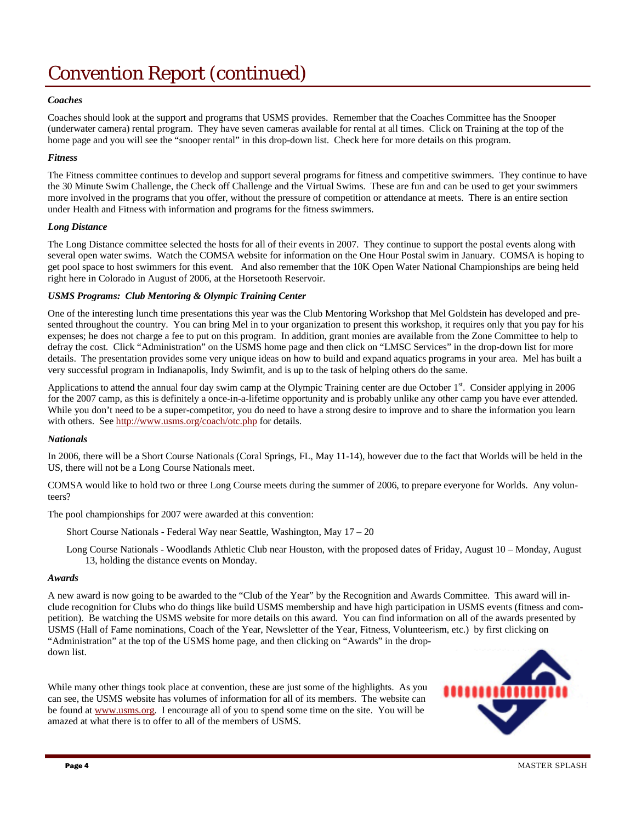### Convention Report (continued)

#### *Coaches*

Coaches should look at the support and programs that USMS provides. Remember that the Coaches Committee has the Snooper (underwater camera) rental program. They have seven cameras available for rental at all times. Click on Training at the top of the home page and you will see the "snooper rental" in this drop-down list. Check here for more details on this program.

#### *Fitness*

The Fitness committee continues to develop and support several programs for fitness and competitive swimmers. They continue to have the 30 Minute Swim Challenge, the Check off Challenge and the Virtual Swims. These are fun and can be used to get your swimmers more involved in the programs that you offer, without the pressure of competition or attendance at meets. There is an entire section under Health and Fitness with information and programs for the fitness swimmers.

#### *Long Distance*

The Long Distance committee selected the hosts for all of their events in 2007. They continue to support the postal events along with several open water swims. Watch the COMSA website for information on the One Hour Postal swim in January. COMSA is hoping to get pool space to host swimmers for this event. And also remember that the 10K Open Water National Championships are being held right here in Colorado in August of 2006, at the Horsetooth Reservoir.

#### *USMS Programs: Club Mentoring & Olympic Training Center*

One of the interesting lunch time presentations this year was the Club Mentoring Workshop that Mel Goldstein has developed and presented throughout the country. You can bring Mel in to your organization to present this workshop, it requires only that you pay for his expenses; he does not charge a fee to put on this program. In addition, grant monies are available from the Zone Committee to help to defray the cost. Click "Administration" on the USMS home page and then click on "LMSC Services" in the drop-down list for more details. The presentation provides some very unique ideas on how to build and expand aquatics programs in your area. Mel has built a very successful program in Indianapolis, Indy Swimfit, and is up to the task of helping others do the same.

Applications to attend the annual four day swim camp at the Olympic Training center are due October  $1<sup>st</sup>$ . Consider applying in 2006 for the 2007 camp, as this is definitely a once-in-a-lifetime opportunity and is probably unlike any other camp you have ever attended. While you don't need to be a super-competitor, you do need to have a strong desire to improve and to share the information you learn with others. See http://www.usms.org/coach/otc.php for details.

#### *Nationals*

In 2006, there will be a Short Course Nationals (Coral Springs, FL, May 11-14), however due to the fact that Worlds will be held in the US, there will not be a Long Course Nationals meet.

COMSA would like to hold two or three Long Course meets during the summer of 2006, to prepare everyone for Worlds. Any volunteers?

The pool championships for 2007 were awarded at this convention:

Short Course Nationals - Federal Way near Seattle, Washington, May 17 – 20

Long Course Nationals - Woodlands Athletic Club near Houston, with the proposed dates of Friday, August 10 – Monday, August 13, holding the distance events on Monday.

#### *Awards*

A new award is now going to be awarded to the "Club of the Year" by the Recognition and Awards Committee. This award will include recognition for Clubs who do things like build USMS membership and have high participation in USMS events (fitness and competition). Be watching the USMS website for more details on this award. You can find information on all of the awards presented by USMS (Hall of Fame nominations, Coach of the Year, Newsletter of the Year, Fitness, Volunteerism, etc.) by first clicking on "Administration" at the top of the USMS home page, and then clicking on "Awards" in the dropdown list.

While many other things took place at convention, these are just some of the highlights. As you can see, the USMS website has volumes of information for all of its members. The website can be found at www.usms.org. I encourage all of you to spend some time on the site. You will be amazed at what there is to offer to all of the members of USMS.

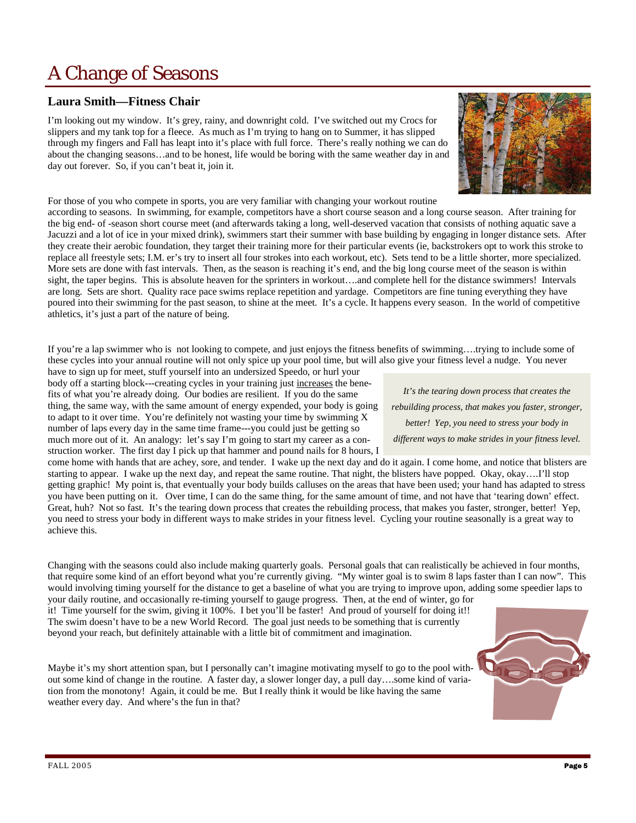### A Change of Seasons

#### **Laura Smith—Fitness Chair**

I'm looking out my window. It's grey, rainy, and downright cold. I've switched out my Crocs for slippers and my tank top for a fleece. As much as I'm trying to hang on to Summer, it has slipped through my fingers and Fall has leapt into it's place with full force. There's really nothing we can do about the changing seasons…and to be honest, life would be boring with the same weather day in and day out forever. So, if you can't beat it, join it.



For those of you who compete in sports, you are very familiar with changing your workout routine

according to seasons. In swimming, for example, competitors have a short course season and a long course season. After training for the big end- of -season short course meet (and afterwards taking a long, well-deserved vacation that consists of nothing aquatic save a Jacuzzi and a lot of ice in your mixed drink), swimmers start their summer with base building by engaging in longer distance sets. After they create their aerobic foundation, they target their training more for their particular events (ie, backstrokers opt to work this stroke to replace all freestyle sets; I.M. er's try to insert all four strokes into each workout, etc). Sets tend to be a little shorter, more specialized. More sets are done with fast intervals. Then, as the season is reaching it's end, and the big long course meet of the season is within sight, the taper begins. This is absolute heaven for the sprinters in workout….and complete hell for the distance swimmers! Intervals are long. Sets are short. Quality race pace swims replace repetition and yardage. Competitors are fine tuning everything they have poured into their swimming for the past season, to shine at the meet. It's a cycle. It happens every season. In the world of competitive athletics, it's just a part of the nature of being.

If you're a lap swimmer who is not looking to compete, and just enjoys the fitness benefits of swimming….trying to include some of these cycles into your annual routine will not only spice up your pool time, but will also give your fitness level a nudge. You never

have to sign up for meet, stuff yourself into an undersized Speedo, or hurl your body off a starting block---creating cycles in your training just increases the benefits of what you're already doing. Our bodies are resilient. If you do the same thing, the same way, with the same amount of energy expended, your body is going to adapt to it over time. You're definitely not wasting your time by swimming X number of laps every day in the same time frame---you could just be getting so much more out of it. An analogy: let's say I'm going to start my career as a con-

struction worker. The first day I pick up that hammer and pound nails for 8 hours, I come home with hands that are achey, sore, and tender. I wake up the next day and do it again. I come home, and notice that blisters are starting to appear. I wake up the next day, and repeat the same routine. That night, the blisters have popped. Okay, okay….I'll stop getting graphic! My point is, that eventually your body builds calluses on the areas that have been used; your hand has adapted to stress you have been putting on it. Over time, I can do the same thing, for the same amount of time, and not have that 'tearing down' effect. Great, huh? Not so fast. It's the tearing down process that creates the rebuilding process, that makes you faster, stronger, better! Yep, you need to stress your body in different ways to make strides in your fitness level. Cycling your routine seasonally is a great way to achieve this.

Changing with the seasons could also include making quarterly goals. Personal goals that can realistically be achieved in four months, that require some kind of an effort beyond what you're currently giving. "My winter goal is to swim 8 laps faster than I can now". This would involving timing yourself for the distance to get a baseline of what you are trying to improve upon, adding some speedier laps to

your daily routine, and occasionally re-timing yourself to gauge progress. Then, at the end of winter, go for it! Time yourself for the swim, giving it 100%. I bet you'll be faster! And proud of yourself for doing it!! The swim doesn't have to be a new World Record. The goal just needs to be something that is currently beyond your reach, but definitely attainable with a little bit of commitment and imagination.

Maybe it's my short attention span, but I personally can't imagine motivating myself to go to the pool without some kind of change in the routine. A faster day, a slower longer day, a pull day….some kind of variation from the monotony! Again, it could be me. But I really think it would be like having the same weather every day. And where's the fun in that?

*It's the tearing down process that creates the rebuilding process, that makes you faster, stronger, better! Yep, you need to stress your body in different ways to make strides in your fitness level.*

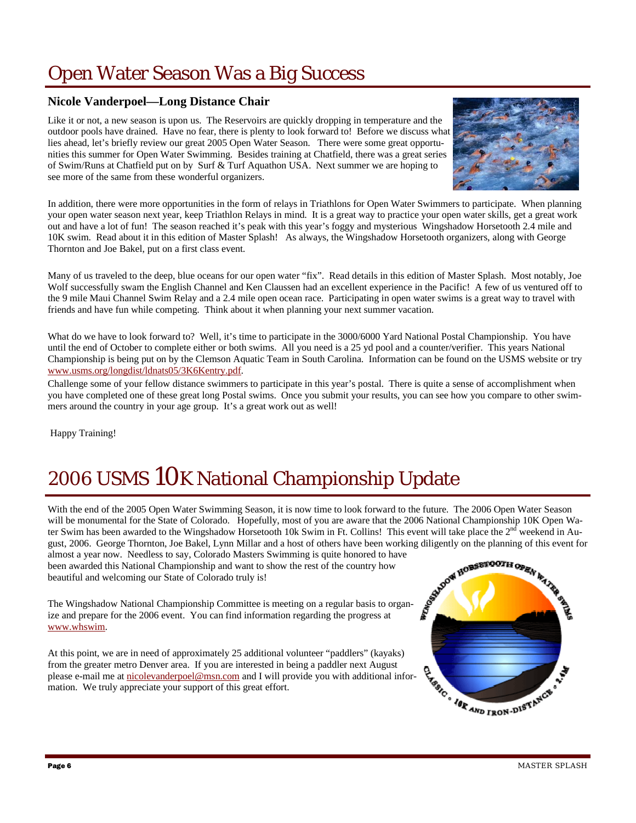### Open Water Season Was a Big Success

### **Nicole Vanderpoel—Long Distance Chair**

Like it or not, a new season is upon us. The Reservoirs are quickly dropping in temperature and the outdoor pools have drained. Have no fear, there is plenty to look forward to! Before we discuss what lies ahead, let's briefly review our great 2005 Open Water Season. There were some great opportunities this summer for Open Water Swimming. Besides training at Chatfield, there was a great series of Swim/Runs at Chatfield put on by Surf & Turf Aquathon USA. Next summer we are hoping to see more of the same from these wonderful organizers.



In addition, there were more opportunities in the form of relays in Triathlons for Open Water Swimmers to participate. When planning your open water season next year, keep Triathlon Relays in mind. It is a great way to practice your open water skills, get a great work out and have a lot of fun! The season reached it's peak with this year's foggy and mysterious Wingshadow Horsetooth 2.4 mile and 10K swim. Read about it in this edition of Master Splash! As always, the Wingshadow Horsetooth organizers, along with George Thornton and Joe Bakel, put on a first class event.

Many of us traveled to the deep, blue oceans for our open water "fix". Read details in this edition of Master Splash. Most notably, Joe Wolf successfully swam the English Channel and Ken Claussen had an excellent experience in the Pacific! A few of us ventured off to the 9 mile Maui Channel Swim Relay and a 2.4 mile open ocean race. Participating in open water swims is a great way to travel with friends and have fun while competing. Think about it when planning your next summer vacation.

What do we have to look forward to? Well, it's time to participate in the 3000/6000 Yard National Postal Championship. You have until the end of October to complete either or both swims. All you need is a 25 yd pool and a counter/verifier. This years National Championship is being put on by the Clemson Aquatic Team in South Carolina. Information can be found on the USMS website or try www.usms.org/longdist/ldnats05/3K6Kentry.pdf.

Challenge some of your fellow distance swimmers to participate in this year's postal. There is quite a sense of accomplishment when you have completed one of these great long Postal swims. Once you submit your results, you can see how you compare to other swimmers around the country in your age group. It's a great work out as well!

Happy Training!

## 2006 USMS 10K National Championship Update

With the end of the 2005 Open Water Swimming Season, it is now time to look forward to the future. The 2006 Open Water Season will be monumental for the State of Colorado. Hopefully, most of you are aware that the 2006 National Championship 10K Open Water Swim has been awarded to the Wingshadow Horsetooth 10k Swim in Ft. Collins! This event will take place the 2<sup>nd</sup> weekend in August, 2006. George Thornton, Joe Bakel, Lynn Millar and a host of others have been working diligently on the planning of this event for almost a year now. Needless to say, Colorado Masters Swimming is quite honored to have almost a year now. Needless to say, Colorado Masters Swimming is quite honored to have

been awarded this National Championship and want to show the rest of the country how beautiful and welcoming our State of Colorado truly is!

The Wingshadow National Championship Committee is meeting on a regular basis to organize and prepare for the 2006 event. You can find information regarding the progress at www.whswim.

At this point, we are in need of approximately 25 additional volunteer "paddlers" (kayaks) from the greater metro Denver area. If you are interested in being a paddler next August please e-mail me at nicolevanderpoel@msn.com and I will provide you with additional information. We truly appreciate your support of this great effort.

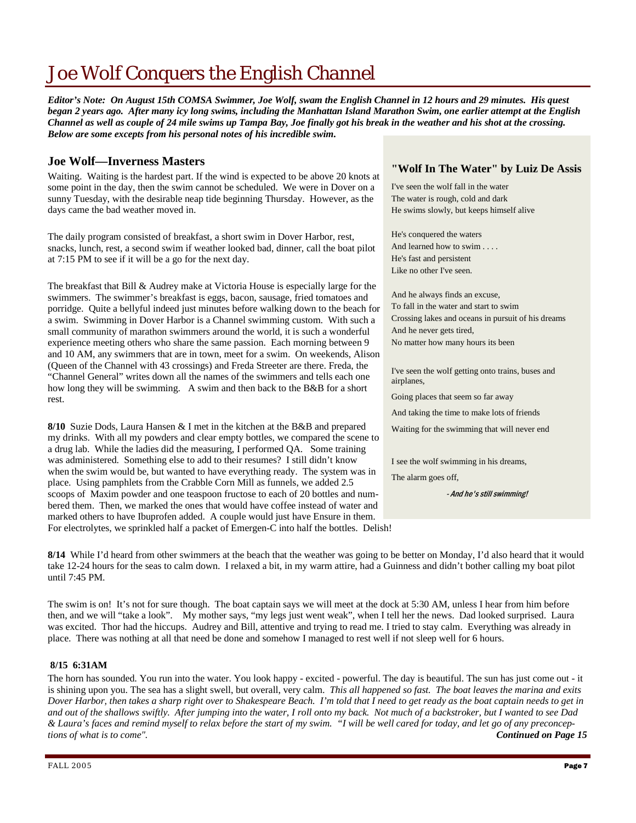### Joe Wolf Conquers the English Channel

*Editor's Note: On August 15th COMSA Swimmer, Joe Wolf, swam the English Channel in 12 hours and 29 minutes. His quest began 2 years ago. After many icy long swims, including the Manhattan Island Marathon Swim, one earlier attempt at the English Channel as well as couple of 24 mile swims up Tampa Bay, Joe finally got his break in the weather and his shot at the crossing. Below are some excepts from his personal notes of his incredible swim.* 

#### **Joe Wolf—Inverness Masters**

Waiting. Waiting is the hardest part. If the wind is expected to be above 20 knots at some point in the day, then the swim cannot be scheduled. We were in Dover on a sunny Tuesday, with the desirable neap tide beginning Thursday. However, as the days came the bad weather moved in.

The daily program consisted of breakfast, a short swim in Dover Harbor, rest, snacks, lunch, rest, a second swim if weather looked bad, dinner, call the boat pilot at 7:15 PM to see if it will be a go for the next day.

The breakfast that Bill & Audrey make at Victoria House is especially large for the swimmers. The swimmer's breakfast is eggs, bacon, sausage, fried tomatoes and porridge. Quite a bellyful indeed just minutes before walking down to the beach for a swim. Swimming in Dover Harbor is a Channel swimming custom. With such a small community of marathon swimmers around the world, it is such a wonderful experience meeting others who share the same passion. Each morning between 9 and 10 AM, any swimmers that are in town, meet for a swim. On weekends, Alison (Queen of the Channel with 43 crossings) and Freda Streeter are there. Freda, the "Channel General" writes down all the names of the swimmers and tells each one how long they will be swimming. A swim and then back to the B&B for a short rest.

**8/10** Suzie Dods, Laura Hansen & I met in the kitchen at the B&B and prepared my drinks. With all my powders and clear empty bottles, we compared the scene to a drug lab. While the ladies did the measuring, I performed QA. Some training was administered. Something else to add to their resumes? I still didn't know when the swim would be, but wanted to have everything ready. The system was in place. Using pamphlets from the Crabble Corn Mill as funnels, we added 2.5 scoops of Maxim powder and one teaspoon fructose to each of 20 bottles and numbered them. Then, we marked the ones that would have coffee instead of water and marked others to have Ibuprofen added. A couple would just have Ensure in them. For electrolytes, we sprinkled half a packet of Emergen-C into half the bottles. Delish!

#### **"Wolf In The Water" by Luiz De Assis**

I've seen the wolf fall in the water The water is rough, cold and dark He swims slowly, but keeps himself alive

He's conquered the waters And learned how to swim . . . . He's fast and persistent Like no other I've seen.

And he always finds an excuse, To fall in the water and start to swim Crossing lakes and oceans in pursuit of his dreams And he never gets tired, No matter how many hours its been

I've seen the wolf getting onto trains, buses and airplanes,

Going places that seem so far away

And taking the time to make lots of friends

Waiting for the swimming that will never end

I see the wolf swimming in his dreams,

The alarm goes off,

- And he's still swimming!

**8/14** While I'd heard from other swimmers at the beach that the weather was going to be better on Monday, I'd also heard that it would take 12-24 hours for the seas to calm down. I relaxed a bit, in my warm attire, had a Guinness and didn't bother calling my boat pilot until 7:45 PM.

The swim is on! It's not for sure though. The boat captain says we will meet at the dock at 5:30 AM, unless I hear from him before then, and we will "take a look". My mother says, "my legs just went weak", when I tell her the news. Dad looked surprised. Laura was excited. Thor had the hiccups. Audrey and Bill, attentive and trying to read me. I tried to stay calm. Everything was already in place. There was nothing at all that need be done and somehow I managed to rest well if not sleep well for 6 hours.

#### **8/15 6:31AM**

The horn has sounded. You run into the water. You look happy - excited - powerful. The day is beautiful. The sun has just come out - it is shining upon you. The sea has a slight swell, but overall, very calm. *This all happened so fast. The boat leaves the marina and exits Dover Harbor, then takes a sharp right over to Shakespeare Beach. I'm told that I need to get ready as the boat captain needs to get in and out of the shallows swiftly. After jumping into the water, I roll onto my back. Not much of a backstroker, but I wanted to see Dad & Laura's faces and remind myself to relax before the start of my swim. "I will be well cared for today, and let go of any preconceptions of what is to come". Continued on Page 15*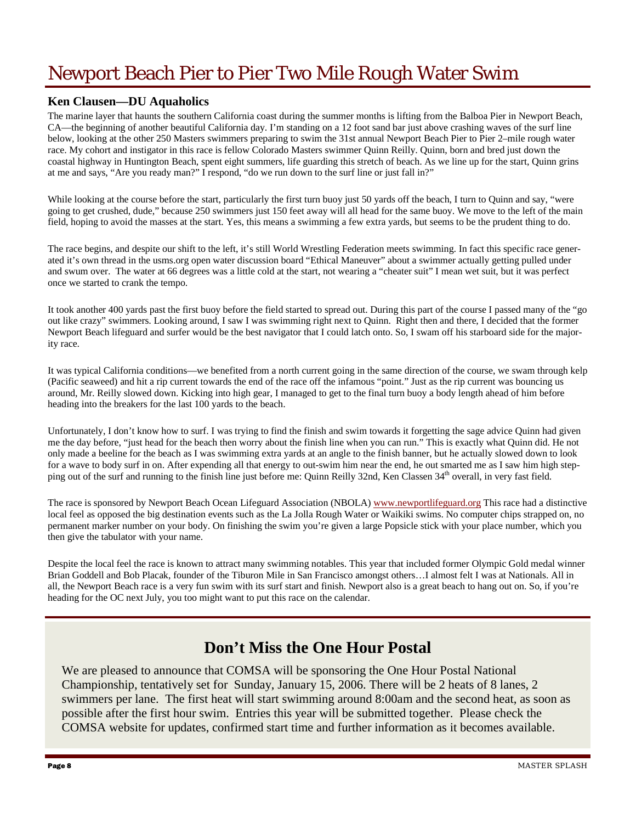### Newport Beach Pier to Pier Two Mile Rough Water Swim

#### **Ken Clausen—DU Aquaholics**

The marine layer that haunts the southern California coast during the summer months is lifting from the Balboa Pier in Newport Beach, CA—the beginning of another beautiful California day. I'm standing on a 12 foot sand bar just above crashing waves of the surf line below, looking at the other 250 Masters swimmers preparing to swim the 31st annual Newport Beach Pier to Pier 2–mile rough water race. My cohort and instigator in this race is fellow Colorado Masters swimmer Quinn Reilly. Quinn, born and bred just down the coastal highway in Huntington Beach, spent eight summers, life guarding this stretch of beach. As we line up for the start, Quinn grins at me and says, "Are you ready man?" I respond, "do we run down to the surf line or just fall in?"

While looking at the course before the start, particularly the first turn buoy just 50 yards off the beach, I turn to Quinn and say, "were going to get crushed, dude," because 250 swimmers just 150 feet away will all head for the same buoy. We move to the left of the main field, hoping to avoid the masses at the start. Yes, this means a swimming a few extra yards, but seems to be the prudent thing to do.

The race begins, and despite our shift to the left, it's still World Wrestling Federation meets swimming. In fact this specific race generated it's own thread in the usms.org open water discussion board "Ethical Maneuver" about a swimmer actually getting pulled under and swum over. The water at 66 degrees was a little cold at the start, not wearing a "cheater suit" I mean wet suit, but it was perfect once we started to crank the tempo.

It took another 400 yards past the first buoy before the field started to spread out. During this part of the course I passed many of the "go out like crazy" swimmers. Looking around, I saw I was swimming right next to Quinn. Right then and there, I decided that the former Newport Beach lifeguard and surfer would be the best navigator that I could latch onto. So, I swam off his starboard side for the majority race.

It was typical California conditions—we benefited from a north current going in the same direction of the course, we swam through kelp (Pacific seaweed) and hit a rip current towards the end of the race off the infamous "point." Just as the rip current was bouncing us around, Mr. Reilly slowed down. Kicking into high gear, I managed to get to the final turn buoy a body length ahead of him before heading into the breakers for the last 100 yards to the beach.

Unfortunately, I don't know how to surf. I was trying to find the finish and swim towards it forgetting the sage advice Quinn had given me the day before, "just head for the beach then worry about the finish line when you can run." This is exactly what Quinn did. He not only made a beeline for the beach as I was swimming extra yards at an angle to the finish banner, but he actually slowed down to look for a wave to body surf in on. After expending all that energy to out-swim him near the end, he out smarted me as I saw him high stepping out of the surf and running to the finish line just before me: Quinn Reilly 32nd, Ken Classen 34<sup>th</sup> overall, in very fast field.

The race is sponsored by Newport Beach Ocean Lifeguard Association (NBOLA) www.newportlifeguard.org This race had a distinctive local feel as opposed the big destination events such as the La Jolla Rough Water or Waikiki swims. No computer chips strapped on, no permanent marker number on your body. On finishing the swim you're given a large Popsicle stick with your place number, which you then give the tabulator with your name.

Despite the local feel the race is known to attract many swimming notables. This year that included former Olympic Gold medal winner Brian Goddell and Bob Placak, founder of the Tiburon Mile in San Francisco amongst others…I almost felt I was at Nationals. All in all, the Newport Beach race is a very fun swim with its surf start and finish. Newport also is a great beach to hang out on. So, if you're heading for the OC next July, you too might want to put this race on the calendar.

### **Don't Miss the One Hour Postal**

We are pleased to announce that COMSA will be sponsoring the One Hour Postal National Championship, tentatively set for Sunday, January 15, 2006. There will be 2 heats of 8 lanes, 2 swimmers per lane. The first heat will start swimming around 8:00am and the second heat, as soon as possible after the first hour swim. Entries this year will be submitted together. Please check the COMSA website for updates, confirmed start time and further information as it becomes available.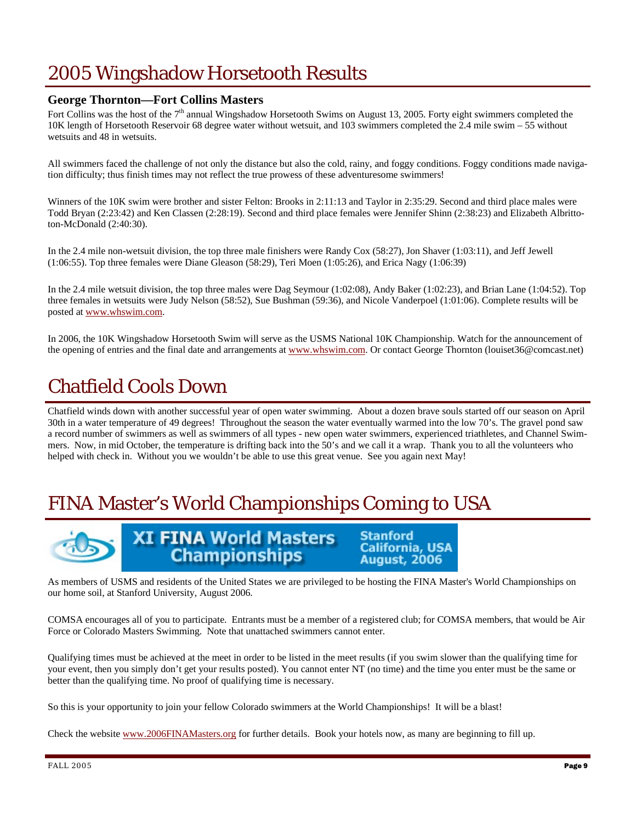### 2005 Wingshadow Horsetooth Results

### **George Thornton—Fort Collins Masters**

Fort Collins was the host of the  $7<sup>th</sup>$  annual Wingshadow Horsetooth Swims on August 13, 2005. Forty eight swimmers completed the 10K length of Horsetooth Reservoir 68 degree water without wetsuit, and 103 swimmers completed the  $2.4$  mile swim – 55 without wetsuits and 48 in wetsuits.

All swimmers faced the challenge of not only the distance but also the cold, rainy, and foggy conditions. Foggy conditions made navigation difficulty; thus finish times may not reflect the true prowess of these adventuresome swimmers!

Winners of the 10K swim were brother and sister Felton: Brooks in 2:11:13 and Taylor in 2:35:29. Second and third place males were Todd Bryan (2:23:42) and Ken Classen (2:28:19). Second and third place females were Jennifer Shinn (2:38:23) and Elizabeth Albrittoton-McDonald (2:40:30).

In the 2.4 mile non-wetsuit division, the top three male finishers were Randy Cox (58:27), Jon Shaver (1:03:11), and Jeff Jewell (1:06:55). Top three females were Diane Gleason (58:29), Teri Moen (1:05:26), and Erica Nagy (1:06:39)

In the 2.4 mile wetsuit division, the top three males were Dag Seymour (1:02:08), Andy Baker (1:02:23), and Brian Lane (1:04:52). Top three females in wetsuits were Judy Nelson (58:52), Sue Bushman (59:36), and Nicole Vanderpoel (1:01:06). Complete results will be posted at www.whswim.com.

In 2006, the 10K Wingshadow Horsetooth Swim will serve as the USMS National 10K Championship. Watch for the announcement of the opening of entries and the final date and arrangements at www.whswim.com. Or contact George Thornton (louiset36@comcast.net)

### Chatfield Cools Down

Chatfield winds down with another successful year of open water swimming. About a dozen brave souls started off our season on April 30th in a water temperature of 49 degrees! Throughout the season the water eventually warmed into the low 70's. The gravel pond saw a record number of swimmers as well as swimmers of all types - new open water swimmers, experienced triathletes, and Channel Swimmers. Now, in mid October, the temperature is drifting back into the 50's and we call it a wrap. Thank you to all the volunteers who helped with check in. Without you we wouldn't be able to use this great venue. See you again next May!

### FINA Master's World Championships Coming to USA



**XI FINA World Masters Championships** 

**Stanford California, USA August, 2006** 

As members of USMS and residents of the United States we are privileged to be hosting the FINA Master's World Championships on our home soil, at Stanford University, August 2006.

COMSA encourages all of you to participate. Entrants must be a member of a registered club; for COMSA members, that would be Air Force or Colorado Masters Swimming. Note that unattached swimmers cannot enter.

Qualifying times must be achieved at the meet in order to be listed in the meet results (if you swim slower than the qualifying time for your event, then you simply don't get your results posted). You cannot enter NT (no time) and the time you enter must be the same or better than the qualifying time. No proof of qualifying time is necessary.

So this is your opportunity to join your fellow Colorado swimmers at the World Championships! It will be a blast!

Check the website www.2006FINAMasters.org for further details. Book your hotels now, as many are beginning to fill up.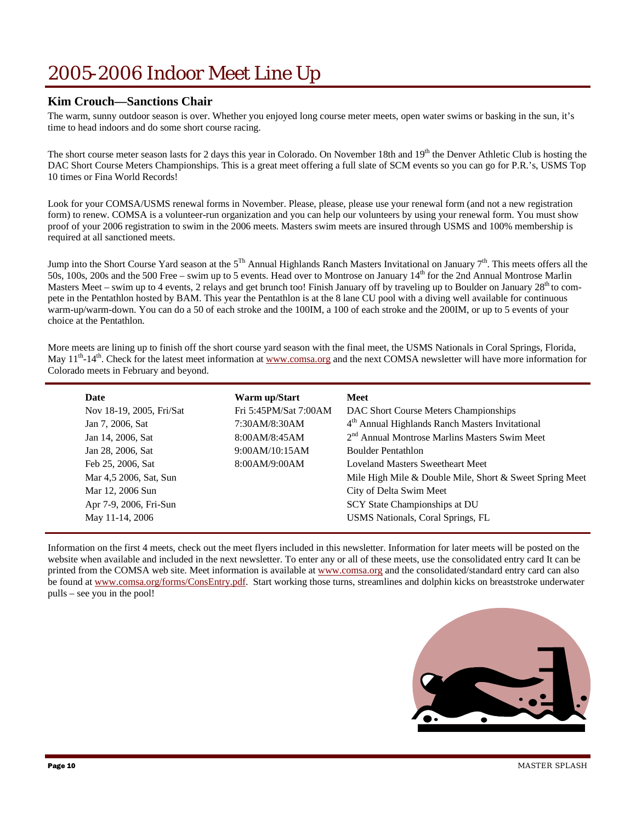### 2005-2006 Indoor Meet Line Up

#### **Kim Crouch—Sanctions Chair**

The warm, sunny outdoor season is over. Whether you enjoyed long course meter meets, open water swims or basking in the sun, it's time to head indoors and do some short course racing.

The short course meter season lasts for 2 days this year in Colorado. On November 18th and  $19<sup>th</sup>$  the Denver Athletic Club is hosting the DAC Short Course Meters Championships. This is a great meet offering a full slate of SCM events so you can go for P.R.'s, USMS Top 10 times or Fina World Records!

Look for your COMSA/USMS renewal forms in November. Please, please, please use your renewal form (and not a new registration form) to renew. COMSA is a volunteer-run organization and you can help our volunteers by using your renewal form. You must show proof of your 2006 registration to swim in the 2006 meets. Masters swim meets are insured through USMS and 100% membership is required at all sanctioned meets.

Jump into the Short Course Yard season at the  $5^{Th}$  Annual Highlands Ranch Masters Invitational on January  $7<sup>th</sup>$ . This meets offers all the 50s, 100s, 200s and the 500 Free – swim up to 5 events. Head over to Montrose on January 14th for the 2nd Annual Montrose Marlin Masters Meet – swim up to 4 events, 2 relays and get brunch too! Finish January off by traveling up to Boulder on January 28<sup>th</sup> to compete in the Pentathlon hosted by BAM. This year the Pentathlon is at the 8 lane CU pool with a diving well available for continuous warm-up/warm-down. You can do a 50 of each stroke and the 100IM, a 100 of each stroke and the 200IM, or up to 5 events of your choice at the Pentathlon.

More meets are lining up to finish off the short course yard season with the final meet, the USMS Nationals in Coral Springs, Florida, May  $11<sup>th</sup>$ -14<sup>th</sup>. Check for the latest meet information at www.comsa.org and the next COMSA newsletter will have more information for Colorado meets in February and beyond.

| Date                     | Warm up/Start         | Meet                                                        |
|--------------------------|-----------------------|-------------------------------------------------------------|
| Nov 18-19, 2005, Fri/Sat | Fri 5:45PM/Sat 7:00AM | DAC Short Course Meters Championships                       |
| Jan 7, 2006, Sat         | 7:30AM/8:30AM         | 4 <sup>th</sup> Annual Highlands Ranch Masters Invitational |
| Jan 14, 2006, Sat        | 8:00AM/8:45AM         | 2 <sup>nd</sup> Annual Montrose Marlins Masters Swim Meet   |
| Jan 28, 2006, Sat        | 9:00AM/10:15AM        | <b>Boulder Pentathlon</b>                                   |
| Feb 25, 2006, Sat        | 8:00AM/9:00AM         | <b>Loveland Masters Sweetheart Meet</b>                     |
| Mar 4,5 2006, Sat, Sun   |                       | Mile High Mile & Double Mile, Short & Sweet Spring Meet     |
| Mar 12, 2006 Sun         |                       | City of Delta Swim Meet                                     |
| Apr 7-9, 2006, Fri-Sun   |                       | SCY State Championships at DU                               |
| May 11-14, 2006          |                       | USMS Nationals, Coral Springs, FL                           |

Information on the first 4 meets, check out the meet flyers included in this newsletter. Information for later meets will be posted on the website when available and included in the next newsletter. To enter any or all of these meets, use the consolidated entry card It can be printed from the COMSA web site. Meet information is available at www.comsa.org and the consolidated/standard entry card can also be found at www.comsa.org/forms/ConsEntry.pdf. Start working those turns, streamlines and dolphin kicks on breaststroke underwater pulls – see you in the pool!

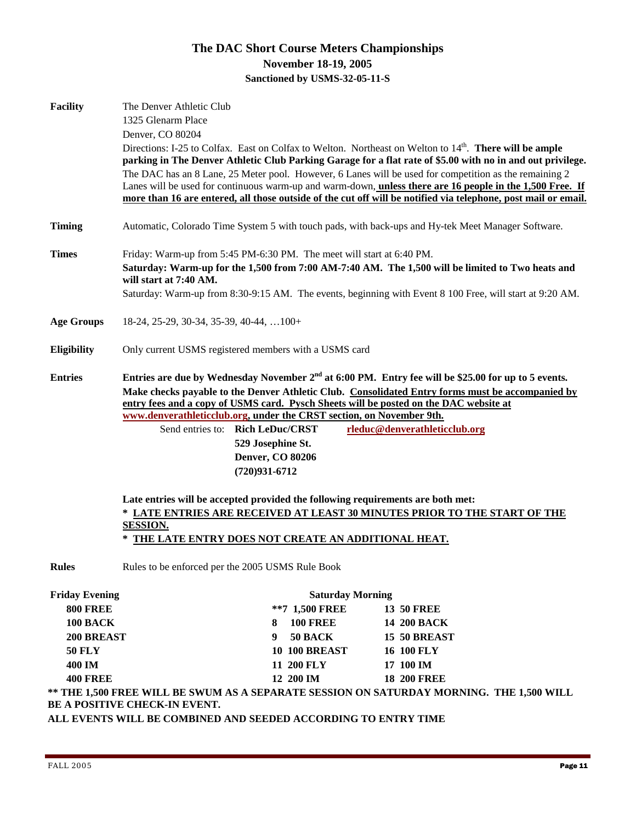### **The DAC Short Course Meters Championships November 18-19, 2005 Sanctioned by USMS-32-05-11-S**

| <b>Facility</b>                                                                                                                                              | The Denver Athletic Club                                                                                                                                                                                                                                                                                                                                                                                                                            |                                                       |                         |                                                                                                                     |  |
|--------------------------------------------------------------------------------------------------------------------------------------------------------------|-----------------------------------------------------------------------------------------------------------------------------------------------------------------------------------------------------------------------------------------------------------------------------------------------------------------------------------------------------------------------------------------------------------------------------------------------------|-------------------------------------------------------|-------------------------|---------------------------------------------------------------------------------------------------------------------|--|
|                                                                                                                                                              | 1325 Glenarm Place<br>Denver, CO 80204                                                                                                                                                                                                                                                                                                                                                                                                              |                                                       |                         |                                                                                                                     |  |
|                                                                                                                                                              |                                                                                                                                                                                                                                                                                                                                                                                                                                                     |                                                       |                         | Directions: I-25 to Colfax. East on Colfax to Welton. Northeast on Welton to 14 <sup>th</sup> . There will be ample |  |
|                                                                                                                                                              | parking in The Denver Athletic Club Parking Garage for a flat rate of \$5.00 with no in and out privilege.<br>The DAC has an 8 Lane, 25 Meter pool. However, 6 Lanes will be used for competition as the remaining 2<br>Lanes will be used for continuous warm-up and warm-down, unless there are 16 people in the 1,500 Free. If<br>more than 16 are entered, all those outside of the cut off will be notified via telephone, post mail or email. |                                                       |                         |                                                                                                                     |  |
|                                                                                                                                                              |                                                                                                                                                                                                                                                                                                                                                                                                                                                     |                                                       |                         |                                                                                                                     |  |
|                                                                                                                                                              |                                                                                                                                                                                                                                                                                                                                                                                                                                                     |                                                       |                         |                                                                                                                     |  |
|                                                                                                                                                              |                                                                                                                                                                                                                                                                                                                                                                                                                                                     |                                                       |                         |                                                                                                                     |  |
| <b>Timing</b>                                                                                                                                                |                                                                                                                                                                                                                                                                                                                                                                                                                                                     |                                                       |                         | Automatic, Colorado Time System 5 with touch pads, with back-ups and Hy-tek Meet Manager Software.                  |  |
| <b>Times</b>                                                                                                                                                 | Friday: Warm-up from 5:45 PM-6:30 PM. The meet will start at 6:40 PM.                                                                                                                                                                                                                                                                                                                                                                               |                                                       |                         |                                                                                                                     |  |
|                                                                                                                                                              | Saturday: Warm-up for the 1,500 from 7:00 AM-7:40 AM. The 1,500 will be limited to Two heats and<br>will start at 7:40 AM.                                                                                                                                                                                                                                                                                                                          |                                                       |                         |                                                                                                                     |  |
|                                                                                                                                                              |                                                                                                                                                                                                                                                                                                                                                                                                                                                     |                                                       |                         | Saturday: Warm-up from 8:30-9:15 AM. The events, beginning with Event 8 100 Free, will start at 9:20 AM.            |  |
| <b>Age Groups</b>                                                                                                                                            | $18-24, 25-29, 30-34, 35-39, 40-44, \ldots$                                                                                                                                                                                                                                                                                                                                                                                                         |                                                       |                         |                                                                                                                     |  |
| <b>Eligibility</b>                                                                                                                                           | Only current USMS registered members with a USMS card                                                                                                                                                                                                                                                                                                                                                                                               |                                                       |                         |                                                                                                                     |  |
| <b>Entries</b>                                                                                                                                               |                                                                                                                                                                                                                                                                                                                                                                                                                                                     |                                                       |                         | Entries are due by Wednesday November 2 <sup>nd</sup> at 6:00 PM. Entry fee will be \$25.00 for up to 5 events.     |  |
| Make checks payable to the Denver Athletic Club. Consolidated Entry forms must be accompanied by                                                             |                                                                                                                                                                                                                                                                                                                                                                                                                                                     |                                                       |                         |                                                                                                                     |  |
| entry fees and a copy of USMS card. Pysch Sheets will be posted on the DAC website at                                                                        |                                                                                                                                                                                                                                                                                                                                                                                                                                                     |                                                       |                         |                                                                                                                     |  |
| www.denverathleticclub.org, under the CRST section, on November 9th.                                                                                         |                                                                                                                                                                                                                                                                                                                                                                                                                                                     |                                                       |                         |                                                                                                                     |  |
|                                                                                                                                                              |                                                                                                                                                                                                                                                                                                                                                                                                                                                     | Send entries to: Rich LeDuc/CRST<br>529 Josephine St. |                         | rleduc@denverathleticclub.org                                                                                       |  |
|                                                                                                                                                              |                                                                                                                                                                                                                                                                                                                                                                                                                                                     | <b>Denver, CO 80206</b>                               |                         |                                                                                                                     |  |
|                                                                                                                                                              |                                                                                                                                                                                                                                                                                                                                                                                                                                                     | $(720)931 - 6712$                                     |                         |                                                                                                                     |  |
| Late entries will be accepted provided the following requirements are both met:<br>* LATE ENTRIES ARE RECEIVED AT LEAST 30 MINUTES PRIOR TO THE START OF THE |                                                                                                                                                                                                                                                                                                                                                                                                                                                     |                                                       |                         |                                                                                                                     |  |
|                                                                                                                                                              |                                                                                                                                                                                                                                                                                                                                                                                                                                                     |                                                       |                         |                                                                                                                     |  |
|                                                                                                                                                              | $\ast$                                                                                                                                                                                                                                                                                                                                                                                                                                              | THE LATE ENTRY DOES NOT CREATE AN ADDITIONAL HEAT.    |                         |                                                                                                                     |  |
| <b>Rules</b>                                                                                                                                                 | Rules to be enforced per the 2005 USMS Rule Book                                                                                                                                                                                                                                                                                                                                                                                                    |                                                       |                         |                                                                                                                     |  |
| <b>Friday Evening</b>                                                                                                                                        |                                                                                                                                                                                                                                                                                                                                                                                                                                                     |                                                       | <b>Saturday Morning</b> |                                                                                                                     |  |
| <b>800 FREE</b>                                                                                                                                              |                                                                                                                                                                                                                                                                                                                                                                                                                                                     | **7 1,500 FREE                                        |                         | <b>13 50 FREE</b>                                                                                                   |  |
| 100 BACK                                                                                                                                                     |                                                                                                                                                                                                                                                                                                                                                                                                                                                     | <b>100 FREE</b><br>8                                  |                         | 14 200 BACK                                                                                                         |  |
| 200 BREAST                                                                                                                                                   |                                                                                                                                                                                                                                                                                                                                                                                                                                                     | 50 BACK<br>9                                          |                         | 15 50 BREAST                                                                                                        |  |
| <b>50 FLY</b>                                                                                                                                                |                                                                                                                                                                                                                                                                                                                                                                                                                                                     | <b>10 100 BREAST</b>                                  |                         | <b>16 100 FLY</b>                                                                                                   |  |
| 400 IM                                                                                                                                                       |                                                                                                                                                                                                                                                                                                                                                                                                                                                     | 11 200 FLY                                            |                         | 17 100 IM                                                                                                           |  |

**\*\* THE 1,500 FREE WILL BE SWUM AS A SEPARATE SESSION ON SATURDAY MORNING. THE 1,500 WILL BE A POSITIVE CHECK-IN EVENT.** 

**ALL EVENTS WILL BE COMBINED AND SEEDED ACCORDING TO ENTRY TIME** 

**400 FREE 12 200 IM 18 200 FREE**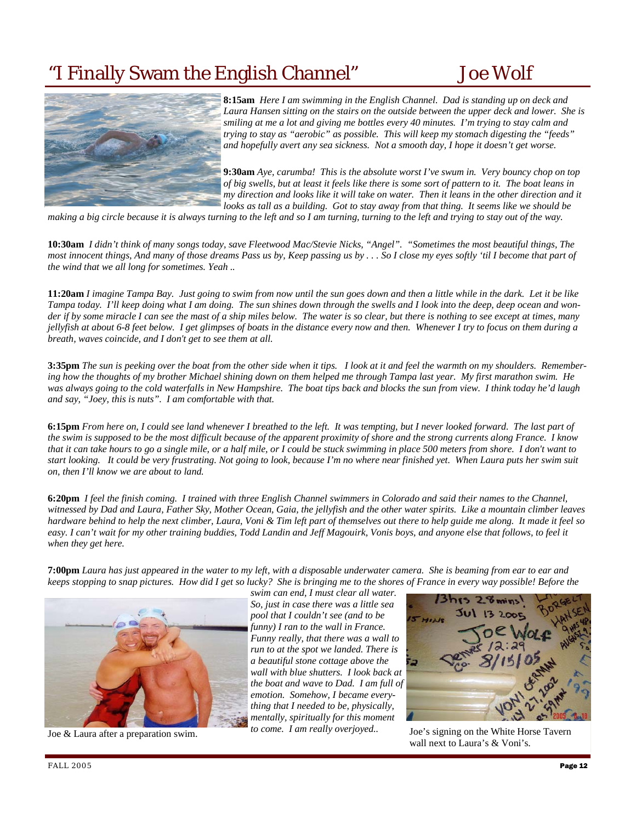### "I Finally Swam the English Channel" Joe Wolf



**8:15am** *Here I am swimming in the English Channel. Dad is standing up on deck and Laura Hansen sitting on the stairs on the outside between the upper deck and lower. She is smiling at me a lot and giving me bottles every 40 minutes. I'm trying to stay calm and trying to stay as "aerobic" as possible. This will keep my stomach digesting the "feeds" and hopefully avert any sea sickness. Not a smooth day, I hope it doesn't get worse.* 

**9:30am** *Aye, carumba! This is the absolute worst I've swum in. Very bouncy chop on top of big swells, but at least it feels like there is some sort of pattern to it. The boat leans in my direction and looks like it will take on water. Then it leans in the other direction and it looks as tall as a building. Got to stay away from that thing. It seems like we should be* 

*making a big circle because it is always turning to the left and so I am turning, turning to the left and trying to stay out of the way.* 

**10:30am** *I didn't think of many songs today, save Fleetwood Mac/Stevie Nicks, "Angel". "Sometimes the most beautiful things, The most innocent things, And many of those dreams Pass us by, Keep passing us by . . . So I close my eyes softly 'til I become that part of the wind that we all long for sometimes. Yeah ..*

**11:20am** *I imagine Tampa Bay. Just going to swim from now until the sun goes down and then a little while in the dark. Let it be like Tampa today. I'll keep doing what I am doing. The sun shines down through the swells and I look into the deep, deep ocean and wonder if by some miracle I can see the mast of a ship miles below. The water is so clear, but there is nothing to see except at times, many jellyfish at about 6-8 feet below. I get glimpses of boats in the distance every now and then. Whenever I try to focus on them during a breath, waves coincide, and I don't get to see them at all.*

**3:35pm** *The sun is peeking over the boat from the other side when it tips. I look at it and feel the warmth on my shoulders. Remembering how the thoughts of my brother Michael shining down on them helped me through Tampa last year. My first marathon swim. He was always going to the cold waterfalls in New Hampshire. The boat tips back and blocks the sun from view. I think today he'd laugh and say, "Joey, this is nuts". I am comfortable with that.*

**6:15pm** *From here on, I could see land whenever I breathed to the left. It was tempting, but I never looked forward. The last part of the swim is supposed to be the most difficult because of the apparent proximity of shore and the strong currents along France. I know that it can take hours to go a single mile, or a half mile, or I could be stuck swimming in place 500 meters from shore. I don't want to start looking. It could be very frustrating. Not going to look, because I'm no where near finished yet. When Laura puts her swim suit on, then I'll know we are about to land.*

**6:20pm** *I feel the finish coming. I trained with three English Channel swimmers in Colorado and said their names to the Channel, witnessed by Dad and Laura, Father Sky, Mother Ocean, Gaia, the jellyfish and the other water spirits. Like a mountain climber leaves hardware behind to help the next climber, Laura, Voni & Tim left part of themselves out there to help guide me along. It made it feel so easy. I can't wait for my other training buddies, Todd Landin and Jeff Magouirk, Vonis boys, and anyone else that follows, to feel it when they get here.* 

**7:00pm** *Laura has just appeared in the water to my left, with a disposable underwater camera. She is beaming from ear to ear and keeps stopping to snap pictures. How did I get so lucky? She is bringing me to the shores of France in every way possible! Before the* 



Joe & Laura after a preparation swim.

*swim can end, I must clear all water. So, just in case there was a little sea pool that I couldn't see (and to be funny) I ran to the wall in France. Funny really, that there was a wall to run to at the spot we landed. There is a beautiful stone cottage above the wall with blue shutters. I look back at the boat and wave to Dad. I am full of emotion. Somehow, I became everything that I needed to be, physically, mentally, spiritually for this moment to come. I am really overjoyed..* 



Joe's signing on the White Horse Tavern wall next to Laura's & Voni's.